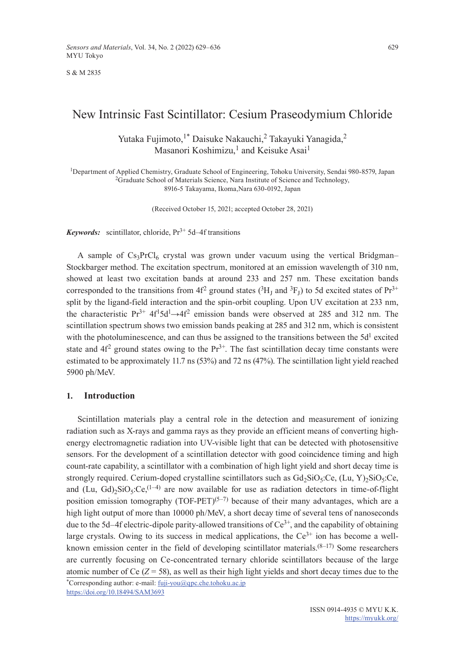S & M 2835

# New Intrinsic Fast Scintillator: Cesium Praseodymium Chloride

Yutaka Fujimoto,<sup>1\*</sup> Daisuke Nakauchi,<sup>2</sup> Takayuki Yanagida,<sup>2</sup> Masanori Koshimizu,<sup>1</sup> and Keisuke Asai<sup>1</sup>

<sup>1</sup>Department of Applied Chemistry, Graduate School of Engineering, Tohoku University, Sendai 980-8579, Japan <sup>2</sup>Graduate School of Materials Science, Nara Institute of Science and Technology, 8916-5 Takayama, Ikoma,Nara 630-0192, Japan

(Received October 15, 2021; accepted October 28, 2021)

*Keywords:* scintillator, chloride,  $Pr<sup>3+</sup> 5d-4f$  transitions

A sample of  $Cs<sub>3</sub>PrCl<sub>6</sub>$  crystal was grown under vacuum using the vertical Bridgman– Stockbarger method. The excitation spectrum, monitored at an emission wavelength of 310 nm, showed at least two excitation bands at around 233 and 257 nm. These excitation bands corresponded to the transitions from 4f<sup>2</sup> ground states ( ${}^{3}H_{I}$  and  ${}^{3}F_{I}$ ) to 5d excited states of  $Pr^{3+}$ split by the ligand-field interaction and the spin-orbit coupling. Upon UV excitation at 233 nm, the characteristic  $Pr^{3+} 4f^{1}5d^{1} \rightarrow 4f^{2}$  emission bands were observed at 285 and 312 nm. The scintillation spectrum shows two emission bands peaking at 285 and 312 nm, which is consistent with the photoluminescence, and can thus be assigned to the transitions between the  $5d<sup>1</sup>$  excited state and  $4f<sup>2</sup>$  ground states owing to the  $Pr<sup>3+</sup>$ . The fast scintillation decay time constants were estimated to be approximately 11.7 ns (53%) and 72 ns (47%). The scintillation light yield reached 5900 ph/MeV.

### **1. Introduction**

Scintillation materials play a central role in the detection and measurement of ionizing radiation such as X-rays and gamma rays as they provide an efficient means of converting highenergy electromagnetic radiation into UV-visible light that can be detected with photosensitive sensors. For the development of a scintillation detector with good coincidence timing and high count-rate capability, a scintillator with a combination of high light yield and short decay time is strongly required. Cerium-doped crystalline scintillators such as  $Gd_2SiO_5:Ce$ , (Lu, Y)<sub>2</sub>SiO<sub>5</sub>:Ce, and (Lu, Gd)<sub>2</sub>SiO<sub>5</sub>:Ce,<sup>(1–4)</sup> are now available for use as radiation detectors in time-of-flight position emission tomography (TOF-PET)<sup>(5–7)</sup> because of their many advantages, which are a high light output of more than 10000 ph/MeV, a short decay time of several tens of nanoseconds due to the 5d–4f electric-dipole parity-allowed transitions of  $Ce^{3+}$ , and the capability of obtaining large crystals. Owing to its success in medical applications, the  $Ce^{3+}$  ion has become a wellknown emission center in the field of developing scintillator materials. $(8-17)$  Some researchers are currently focusing on Ce-concentrated ternary chloride scintillators because of the large atomic number of Ce  $(Z = 58)$ , as well as their high light yields and short decay times due to the

\*Corresponding author: e-mail: [fuji-you@qpc.che.tohoku.ac.jp](mailto:fuji-you@qpc.che.tohoku.ac.jp) <https://doi.org/10.18494/SAM3693>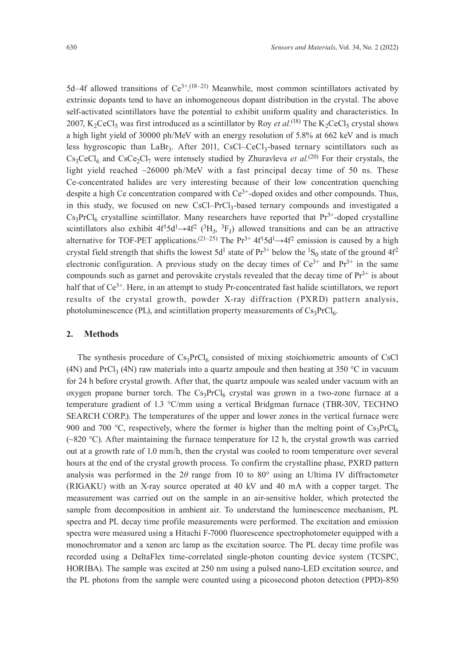5d–4f allowed transitions of  $Ce^{3+(18-21)}$  Meanwhile, most common scintillators activated by extrinsic dopants tend to have an inhomogeneous dopant distribution in the crystal. The above self-activated scintillators have the potential to exhibit uniform quality and characteristics. In 2007, K<sub>2</sub>CeCl<sub>5</sub> was first introduced as a scintillator by Roy *et al.*<sup>(18)</sup> The K<sub>2</sub>CeCl<sub>5</sub> crystal shows a high light yield of 30000 ph/MeV with an energy resolution of 5.8% at 662 keV and is much less hygroscopic than LaBr<sub>3</sub>. After 2011, CsCl–CeCl<sub>3</sub>-based ternary scintillators such as  $Cs<sub>3</sub>CeCl<sub>6</sub>$  and  $CsCe<sub>3</sub>Cl<sub>7</sub>$  were intensely studied by Zhuravleva *et al.*<sup>(20)</sup> For their crystals, the light yield reached  $\sim$ 26000 ph/MeV with a fast principal decay time of 50 ns. These Ce-concentrated halides are very interesting because of their low concentration quenching despite a high Ce concentration compared with  $Ce^{3+}$ -doped oxides and other compounds. Thus, in this study, we focused on new CsCl–PrCl<sub>3</sub>-based ternary compounds and investigated a  $Cs<sub>3</sub>PrCl<sub>6</sub>$  crystalline scintillator. Many researchers have reported that  $Pr<sup>3+</sup>$ -doped crystalline scintillators also exhibit  $4f^15d^1 \rightarrow 4f^2$  ( ${}^3H_J$ ,  ${}^3F_J$ ) allowed transitions and can be an attractive alternative for TOF-PET applications.<sup>(21–25)</sup> The Pr<sup>3+</sup>  $4f^15d^1 \rightarrow 4f^2$  emission is caused by a high crystal field strength that shifts the lowest 5d<sup>1</sup> state of  $Pr^{3+}$  below the <sup>1</sup>S<sub>0</sub> state of the ground 4f<sup>2</sup> electronic configuration. A previous study on the decay times of  $Ce^{3+}$  and  $Pr^{3+}$  in the same compounds such as garnet and perovskite crystals revealed that the decay time of  $Pr<sup>3+</sup>$  is about half that of  $Ce^{3+}$ . Here, in an attempt to study Pr-concentrated fast halide scintillators, we report results of the crystal growth, powder X-ray diffraction (PXRD) pattern analysis, photoluminescence (PL), and scintillation property measurements of  $Cs<sub>3</sub>PrCl<sub>6</sub>$ .

# **2. Methods**

The synthesis procedure of  $Cs<sub>3</sub>PrCl<sub>6</sub>$  consisted of mixing stoichiometric amounts of CsCl (4N) and PrCl<sub>3</sub> (4N) raw materials into a quartz ampoule and then heating at 350 °C in vacuum for 24 h before crystal growth. After that, the quartz ampoule was sealed under vacuum with an oxygen propane burner torch. The  $Cs_3PrCl_6$  crystal was grown in a two-zone furnace at a temperature gradient of 1.3 °С/mm using a vertical Bridgman furnace (TBR-30V, TECHNO SEARCH CORP.). The temperatures of the upper and lower zones in the vertical furnace were 900 and 700 °C, respectively, where the former is higher than the melting point of  $Cs_3PrCl_6$ ( $\sim$ 820 °C). After maintaining the furnace temperature for 12 h, the crystal growth was carried out at a growth rate of 1.0 mm/h, then the crystal was cooled to room temperature over several hours at the end of the crystal growth process. To confirm the crystalline phase, PXRD pattern analysis was performed in the 2*θ* range from 10 to 80° using an Ultima IV diffractometer (RIGAKU) with an X-ray source operated at 40 kV and 40 mA with a copper target. The measurement was carried out on the sample in an air-sensitive holder, which protected the sample from decomposition in ambient air. To understand the luminescence mechanism, PL spectra and PL decay time profile measurements were performed. The excitation and emission spectra were measured using a Hitachi F-7000 fluorescence spectrophotometer equipped with a monochromator and a xenon arc lamp as the excitation source. The PL decay time profile was recorded using a DeltaFlex time-correlated single-photon counting device system (TCSPC, HORIBA). The sample was excited at 250 nm using a pulsed nano-LED excitation source, and the PL photons from the sample were counted using a picosecond photon detection (PPD)-850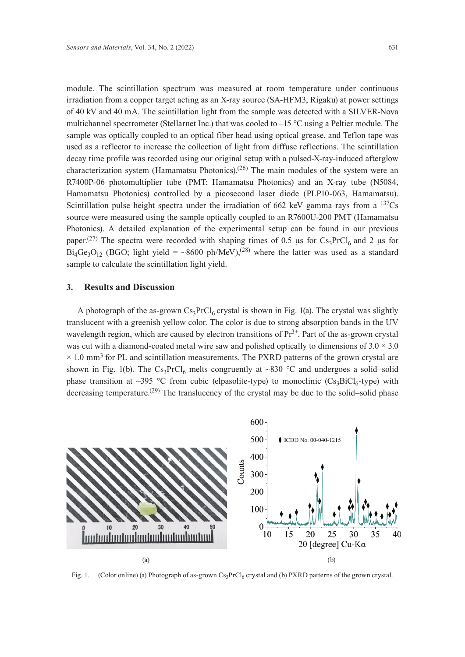module. The scintillation spectrum was measured at room temperature under continuous irradiation from a copper target acting as an X-ray source (SA-HFM3, Rigaku) at power settings of 40 kV and 40 mA. The scintillation light from the sample was detected with a SILVER-Nova multichannel spectrometer (Stellarnet Inc.) that was cooled to –15 °С using a Peltier module. The sample was optically coupled to an optical fiber head using optical grease, and Teflon tape was used as a reflector to increase the collection of light from diffuse reflections. The scintillation decay time profile was recorded using our original setup with a pulsed-X-ray-induced afterglow characterization system (Hamamatsu Photonics).<sup>(26)</sup> The main modules of the system were an R7400P-06 photomultiplier tube (PMT; Hamamatsu Photonics) and an X-ray tube (N5084, Hamamatsu Photonics) controlled by a picosecond laser diode (PLP10-063, Hamamatsu). Scintillation pulse height spectra under the irradiation of 662 keV gamma rays from a  $137Cs$ source were measured using the sample optically coupled to an R7600U-200 PMT (Hamamatsu Photonics). A detailed explanation of the experimental setup can be found in our previous paper.<sup>(27)</sup> The spectra were recorded with shaping times of 0.5 μs for Cs<sub>3</sub>PrCl<sub>6</sub> and 2 μs for  $Bi_4Ge_3O_{12}$  (BGO; light yield = ~8600 ph/MeV),<sup>(28)</sup> where the latter was used as a standard sample to calculate the scintillation light yield.

# **3. Results and Discussion**

A photograph of the as-grown  $Cs_3PrCl_6$  crystal is shown in Fig. 1(a). The crystal was slightly translucent with a greenish yellow color. The color is due to strong absorption bands in the UV wavelength region, which are caused by electron transitions of  $Pr<sup>3+</sup>$ . Part of the as-grown crystal was cut with a diamond-coated metal wire saw and polished optically to dimensions of  $3.0 \times 3.0$  $\times$  1.0 mm<sup>3</sup> for PL and scintillation measurements. The PXRD patterns of the grown crystal are shown in Fig. 1(b). The  $Cs_3PrCl_6$  melts congruently at ~830 °C and undergoes a solid–solid phase transition at ~395 °C from cubic (elpasolite-type) to monoclinic  $(Cs_3BiCl_6$ -type) with decreasing temperature.<sup>(29)</sup> The translucency of the crystal may be due to the solid–solid phase



Fig. 1. (Color online) (a) Photograph of as-grown Cs<sub>3</sub>PrCl<sub>6</sub> crystal and (b) PXRD patterns of the grown crystal.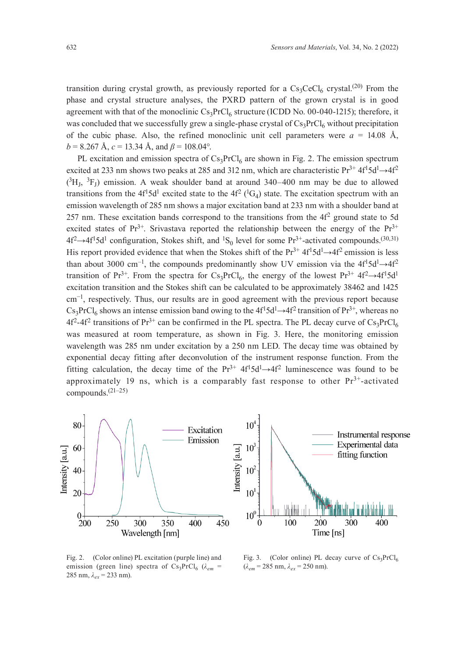transition during crystal growth, as previously reported for a  $Cs<sub>3</sub>CeCl<sub>6</sub>$  crystal.<sup>(20)</sup> From the phase and crystal structure analyses, the PXRD pattern of the grown crystal is in good agreement with that of the monoclinic  $Cs_3PrCl_6$  structure (ICDD No. 00-040-1215); therefore, it was concluded that we successfully grew a single-phase crystal of  $Cs<sub>3</sub>PrCl<sub>6</sub>$  without precipitation of the cubic phase. Also, the refined monoclinic unit cell parameters were  $a = 14.08$  Å,  $b = 8.267$  Å,  $c = 13.34$  Å, and  $\beta = 108.04$ °.

PL excitation and emission spectra of  $Cs<sub>3</sub>PrCl<sub>6</sub>$  are shown in Fig. 2. The emission spectrum excited at 233 nm shows two peaks at 285 and 312 nm, which are characteristic  $Pr^{3+} 4f^{1} 5d^{1} \rightarrow 4f^{2}$  $(^3H_J, ^3F_J)$  emission. A weak shoulder band at around 340–400 nm may be due to allowed transitions from the 4f<sup>1</sup>5d<sup>1</sup> excited state to the 4f<sup>2</sup> (<sup>1</sup>G<sub>4</sub>) state. The excitation spectrum with an emission wavelength of 285 nm shows a major excitation band at 233 nm with a shoulder band at 257 nm. These excitation bands correspond to the transitions from the  $4f<sup>2</sup>$  ground state to 5d excited states of  $Pr^{3+}$ . Srivastava reported the relationship between the energy of the  $Pr^{3+}$  $4f^2 \rightarrow 4f^15d^1$  configuration, Stokes shift, and <sup>1</sup>S<sub>0</sub> level for some Pr<sup>3+</sup>-activated compounds.<sup>(30,31)</sup> His report provided evidence that when the Stokes shift of the  $Pr^{3+} 4f^{1} 5d^{1} \rightarrow 4f^{2}$  emission is less than about 3000 cm<sup>-1</sup>, the compounds predominantly show UV emission via the  $4f^{1}5d^{1}\rightarrow 4f^{2}$ transition of Pr<sup>3+</sup>. From the spectra for Cs<sub>3</sub>PrCl<sub>6</sub>, the energy of the lowest Pr<sup>3+</sup> 4f<sup>2</sup> $\rightarrow$ 4f<sup>1</sup>5d<sup>1</sup> excitation transition and the Stokes shift can be calculated to be approximately 38462 and 1425 cm−1, respectively. Thus, our results are in good agreement with the previous report because  $Cs_3PrCl_6$  shows an intense emission band owing to the  $4f^15d^1 \rightarrow 4f^2$  transition of  $Pr^{3+}$ , whereas no  $4f^2-4f^2$  transitions of Pr<sup>3+</sup> can be confirmed in the PL spectra. The PL decay curve of Cs<sub>3</sub>PrCl<sub>6</sub> was measured at room temperature, as shown in Fig. 3. Here, the monitoring emission wavelength was 285 nm under excitation by a 250 nm LED. The decay time was obtained by exponential decay fitting after deconvolution of the instrument response function. From the fitting calculation, the decay time of the  $Pr^{3+} 4f^{1}5d^{1} \rightarrow 4f^{2}$  luminescence was found to be approximately 19 ns, which is a comparably fast response to other  $Pr<sup>3+</sup>$ -activated compounds.(21–25)



Fig. 2. (Color online) PL excitation (purple line) and emission (green line) spectra of  $Cs_3PrCl_6$  ( $\lambda_{em}$  = 285 nm, *λex* = 233 nm).

Fig. 3. (Color online) PL decay curve of  $Cs_3PrCl_6$  $(\lambda_{em} = 285 \text{ nm}, \lambda_{ex} = 250 \text{ nm}).$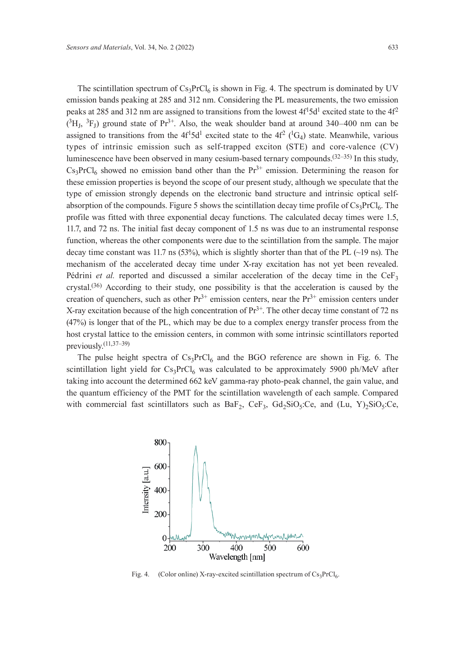The scintillation spectrum of  $Cs_3PrCl_6$  is shown in Fig. 4. The spectrum is dominated by UV emission bands peaking at 285 and 312 nm. Considering the PL measurements, the two emission peaks at 285 and 312 nm are assigned to transitions from the lowest  $4f<sup>1</sup>5d<sup>1</sup>$  excited state to the  $4f<sup>2</sup>$  $(^3H_J, {}^3F_J)$  ground state of Pr<sup>3+</sup>. Also, the weak shoulder band at around 340–400 nm can be assigned to transitions from the  $4f^15d^1$  excited state to the  $4f^2$  ( ${}^1G_4$ ) state. Meanwhile, various types of intrinsic emission such as self-trapped exciton (STE) and core-valence (CV) luminescence have been observed in many cesium-based ternary compounds.<sup>(32–35)</sup> In this study,  $Cs<sub>3</sub>PrCl<sub>6</sub>$  showed no emission band other than the  $Pr<sup>3+</sup>$  emission. Determining the reason for these emission properties is beyond the scope of our present study, although we speculate that the type of emission strongly depends on the electronic band structure and intrinsic optical selfabsorption of the compounds. Figure 5 shows the scintillation decay time profile of  $Cs_3PrCl_6$ . The profile was fitted with three exponential decay functions. The calculated decay times were 1.5, 11.7, and 72 ns. The initial fast decay component of 1.5 ns was due to an instrumental response function, whereas the other components were due to the scintillation from the sample. The major decay time constant was 11.7 ns (53%), which is slightly shorter than that of the PL (~19 ns). The mechanism of the accelerated decay time under X-ray excitation has not yet been revealed. Pédrini *et al.* reported and discussed a similar acceleration of the decay time in the CeF<sub>3</sub> crystal.(36) According to their study, one possibility is that the acceleration is caused by the creation of quenchers, such as other  $Pr^{3+}$  emission centers, near the  $Pr^{3+}$  emission centers under X-ray excitation because of the high concentration of  $Pr<sup>3+</sup>$ . The other decay time constant of 72 ns (47%) is longer that of the PL, which may be due to a complex energy transfer process from the host crystal lattice to the emission centers, in common with some intrinsic scintillators reported previously.(11,37–39)

The pulse height spectra of  $Cs_3PrCl_6$  and the BGO reference are shown in Fig. 6. The scintillation light yield for  $Cs_3PrCl_6$  was calculated to be approximately 5900 ph/MeV after taking into account the determined 662 keV gamma-ray photo-peak channel, the gain value, and the quantum efficiency of the PMT for the scintillation wavelength of each sample. Compared with commercial fast scintillators such as  $BaF_2$ ,  $CeF_3$ ,  $Gd_2SiO_5:Ce$ , and  $(Lu, Y)_2SiO_5:Ce$ ,

800 600 Intensity [a.u.] 400 200  $0 - M$  $300$ 400 500 600 200 Wavelength [nm]

Fig. 4. (Color online) X-ray-excited scintillation spectrum of  $Cs_3PrCl_6$ .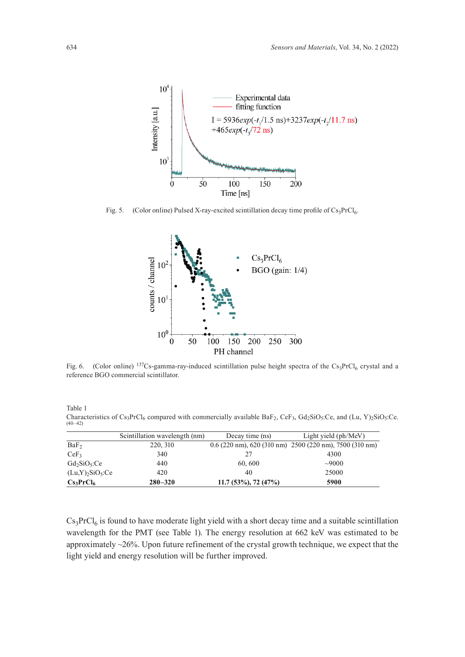

Fig. 5. (Color online) Pulsed X-ray-excited scintillation decay time profile of  $Cs_3PrCl_6$ .



Fig. 6. (Color online)  $^{137}Cs$ -gamma-ray-induced scintillation pulse height spectra of the Cs<sub>3</sub>PrCl<sub>6</sub> crystal and a reference BGO commercial scintillator.

Table 1 Characteristics of Cs<sub>3</sub>PrCl<sub>6</sub> compared with commercially available BaF<sub>2</sub>, CeF<sub>3</sub>, Gd<sub>2</sub>SiO<sub>5</sub>:Ce, and (Lu, Y)<sub>2</sub>SiO<sub>5</sub>:Ce.<br>(40–42)

|                                            | Scintillation wavelength (nm) | Decay time (ns)            | Light yield (ph/MeV)                                      |
|--------------------------------------------|-------------------------------|----------------------------|-----------------------------------------------------------|
| BaF <sub>2</sub>                           | 220, 310                      |                            | $0.6$ (220 nm), 620 (310 nm) 2500 (220 nm), 7500 (310 nm) |
| CeF <sub>3</sub>                           | 340                           |                            | 4300                                                      |
| $Gd_2SiO_5:Ce$                             | 440                           | 60, 600                    | ~10000                                                    |
| $(Lu,Y)$ <sub>2</sub> SiO <sub>5</sub> :Ce | 420                           | 40                         | 25000                                                     |
| Cs <sub>3</sub> PrCl <sub>6</sub>          | $280 - 320$                   | $11.7(53\%)$ , 72 $(47\%)$ | 5900                                                      |

 $Cs<sub>3</sub>PrCl<sub>6</sub>$  is found to have moderate light yield with a short decay time and a suitable scintillation wavelength for the PMT (see Table 1). The energy resolution at 662 keV was estimated to be approximately ~26%. Upon future refinement of the crystal growth technique, we expect that the light yield and energy resolution will be further improved.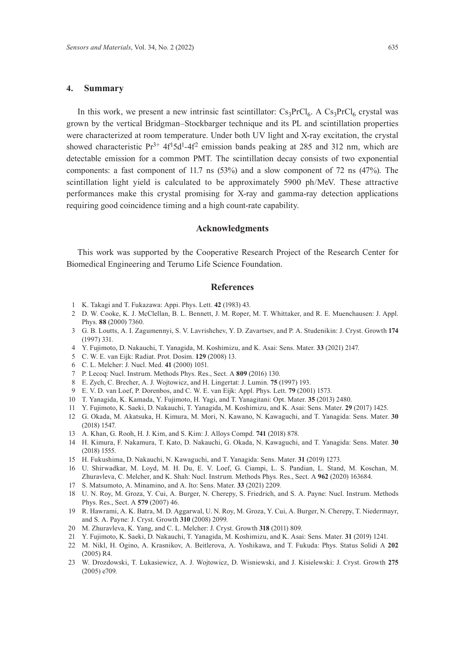#### **4. Summary**

In this work, we present a new intrinsic fast scintillator:  $Cs_3PrCl_6$ . A  $Cs_3PrCl_6$  crystal was grown by the vertical Bridgman–Stockbarger technique and its PL and scintillation properties were characterized at room temperature. Under both UV light and X-ray excitation, the crystal showed characteristic  $Pr^{3+}$  4f<sup>1</sup>5d<sup>1</sup>-4f<sup>2</sup> emission bands peaking at 285 and 312 nm, which are detectable emission for a common PMT. The scintillation decay consists of two exponential components: a fast component of 11.7 ns (53%) and a slow component of 72 ns (47%). The scintillation light yield is calculated to be approximately 5900 ph/MeV. These attractive performances make this crystal promising for X-ray and gamma-ray detection applications requiring good coincidence timing and a high count-rate capability.

## **Acknowledgments**

This work was supported by the Cooperative Research Project of the Research Center for Biomedical Engineering and Terumo Life Science Foundation.

#### **References**

- 1 K. Takagi and T. Fukazawa: Appi. Phys. Lett. **42** (1983) 43.
- 2 D. W. Cooke, K. J. McClellan, B. L. Bennett, J. M. Roper, M. T. Whittaker, and R. E. Muenchausen: J. Appl. Phys. **88** (2000) 7360.
- 3 G. B. Loutts, A. I. Zagumennyi, S. V. Lavrishchev, Y. D. Zavartsev, and P. A. Studenikin: J. Cryst. Growth **174** (1997) 331.
- 4 Y. Fujimoto, D. Nakauchi, T. Yanagida, M. Koshimizu, and K. Asai: Sens. Mater. **33** (2021) 2147.
- 5 C. W. E. van Eijk: Radiat. Prot. Dosim. **129** (2008) 13.
- 6 C. L. Melcher: J. Nucl. Med. **41** (2000) 1051.
- 7 P. Lecoq: Nucl. Instrum. Methods Phys. Res., Sect. A **809** (2016) 130.
- 8 E. Zych, C. Brecher, A. J. Wojtowicz, and H. Lingertat: J. Lumin. **75** (1997) 193.
- 9 E. V. D. van Loef, P. Dorenbos, and C. W. E. van Eijk: Appl. Phys. Lett. **79** (2001) 1573.
- 10 T. Yanagida, K. Kamada, Y. Fujimoto, H. Yagi, and T. Yanagitani: Opt. Mater. **35** (2013) 2480.
- 11 Y. Fujimoto, K. Saeki, D. Nakauchi, T. Yanagida, M. Koshimizu, and K. Asai: Sens. Mater. **29** (2017) 1425.
- 12 G. Okada, M. Akatsuka, H. Kimura, M. Mori, N. Kawano, N. Kawaguchi, and T. Yanagida: Sens. Mater. **30** (2018) 1547.
- 13 A. Khan, G. Rooh, H. J. Kim, and S. Kim: J. Alloys Compd. **741** (2018) 878.
- 14 H. Kimura, F. Nakamura, T. Kato, D. Nakauchi, G. Okada, N. Kawaguchi, and T. Yanagida: Sens. Mater. **30** (2018) 1555.
- 15 H. Fukushima, D. Nakauchi, N. Kawaguchi, and T. Yanagida: Sens. Mater. **31** (2019) 1273.
- 16 U. Shirwadkar, M. Loyd, M. H. Du, E. V. Loef, G. Ciampi, L. S. Pandian, L. Stand, M. Koschan, M. Zhuravleva, C. Melcher, and K. Shah: Nucl. Instrum. Methods Phys. Res., Sect. A **962** (2020) 163684.
- 17 S. Matsumoto, A. Minamino, and A. Ito: Sens. Mater. **33** (2021) 2209.
- 18 U. N. Roy, M. Groza, Y. Cui, A. Burger, N. Cherepy, S. Friedrich, and S. A. Payne: Nucl. Instrum. Methods Phys. Res., Sect. A **579** (2007) 46.
- 19 R. Hawrami, A. K. Batra, M. D. Aggarwal, U. N. Roy, M. Groza, Y. Cui, A. Burger, N. Cherepy, T. Niedermayr, and S. A. Payne: J. Cryst. Growth **310** (2008) 2099.
- 20 M. Zhuravleva, K. Yang, and C. L. Melcher: J. Cryst. Growth **318** (2011) 809.
- 21 Y. Fujimoto, K. Saeki, D. Nakauchi, T. Yanagida, M. Koshimizu, and K. Asai: Sens. Mater. **31** (2019) 1241.
- 22 M. Nikl, H. Ogino, A. Krasnikov, A. Beitlerova, A. Yoshikawa, and T. Fukuda: Phys. Status Solidi A **202**  $(2005)$  R4
- 23 W. Drozdowski, T. Lukasiewicz, A. J. Wojtowicz, D. Wisniewski, and J. Kisielewski: J. Cryst. Growth **275** (2005) e709.